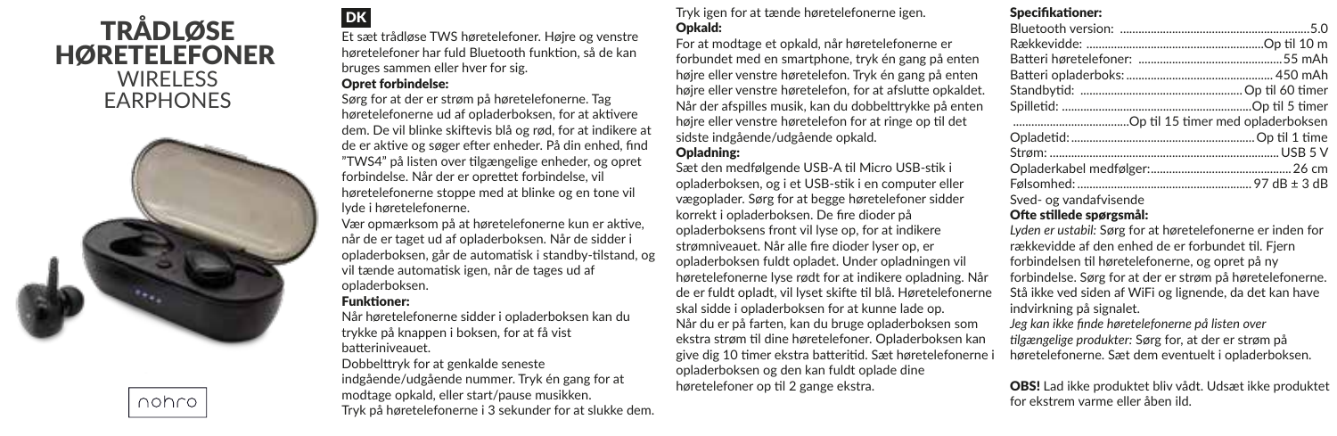# TRÅDLØSE HØRETELEFONER WIRELESS EARPHONES



nohro

Et sæt trådløse TWS høretelefoner. Højre og venstre høretelefoner har fuld Bluetooth funktion, så de kan bruges sammen eller hver for sig.

### Opret forbindelse:

Sørg for at der er strøm på høretelefonerne. Tag høretelefonerne ud af opladerboksen, for at aktivere dem. De vil blinke skiftevis blå og rød, for at indikere at de er aktive og søger efter enheder. På din enhed, find "TWS4" på listen over tilgængelige enheder, og opret forbindelse. Når der er oprettet forbindelse, vil høretelefonerne stoppe med at blinke og en tone vil lyde i høretelefonerne.

Vær opmærksom på at høretelefonerne kun er aktive, når de er taget ud af opladerboksen. Når de sidder i opladerboksen, går de automatisk i standby-tilstand, og vil tænde automatisk igen, når de tages ud af opladerboksen.

### Funktioner:

Når høretelefonerne sidder i opladerboksen kan du trykke på knappen i boksen, for at få vist batteriniveauet.

Dobbelttryk for at genkalde seneste indgående/udgående nummer. Tryk én gang for at modtage opkald, eller start/pause musikken. Tryk på høretelefonerne i 3 sekunder for at slukke dem.

DK Tryk igen for at tænde høretelefonerne igen. Opkald:

> For at modtage et opkald, når høretelefonerne er forbundet med en smartphone, tryk én gang på enten højre eller venstre høretelefon. Tryk én gang på enten højre eller venstre høretelefon, for at afslutte opkaldet. Når der afspilles musik, kan du dobbelttrykke på enten højre eller venstre høretelefon for at ringe op til det sidste indgående/udgående opkald.

## Opladning:

Sæt den medfølgende USB-A til Micro USB-stik i opladerboksen, og i et USB-stik i en computer eller vægoplader. Sørg for at begge høretelefoner sidder korrekt i opladerboksen. De fire dioder på opladerboksens front vil lyse op, for at indikere strømniveauet. Når alle fire dioder lyser op, er opladerboksen fuldt opladet. Under opladningen vil høretelefonerne lyse rødt for at indikere opladning. Når de er fuldt opladt, vil lyset skifte til blå. Høretelefonerne skal sidde i opladerboksen for at kunne lade op. Når du er på farten, kan du bruge opladerboksen som ekstra strøm til dine høretelefoner. Opladerboksen kan give dig 10 timer ekstra batteritid. Sæt høretelefonerne i opladerboksen og den kan fuldt oplade dine høretelefoner op til 2 gange ekstra.

# Specifikationer:

Sved- og vandafvisende

### Ofte stillede spørgsmål:

*Lyden er ustabil:* Sørg for at høretelefonerne er inden for rækkevidde af den enhed de er forbundet til. Fjern forbindelsen til høretelefonerne, og opret på ny forbindelse. Sørg for at der er strøm på høretelefonerne. Stå ikke ved siden af WiFi og lignende, da det kan have indvirkning på signalet.

*Jeg kan ikke finde høretelefonerne på listen over tilgængelige produkter:* Sørg for, at der er strøm på høretelefonerne. Sæt dem eventuelt i opladerboksen.

OBS! Lad ikke produktet bliv vådt. Udsæt ikke produktet for ekstrem varme eller åben ild.